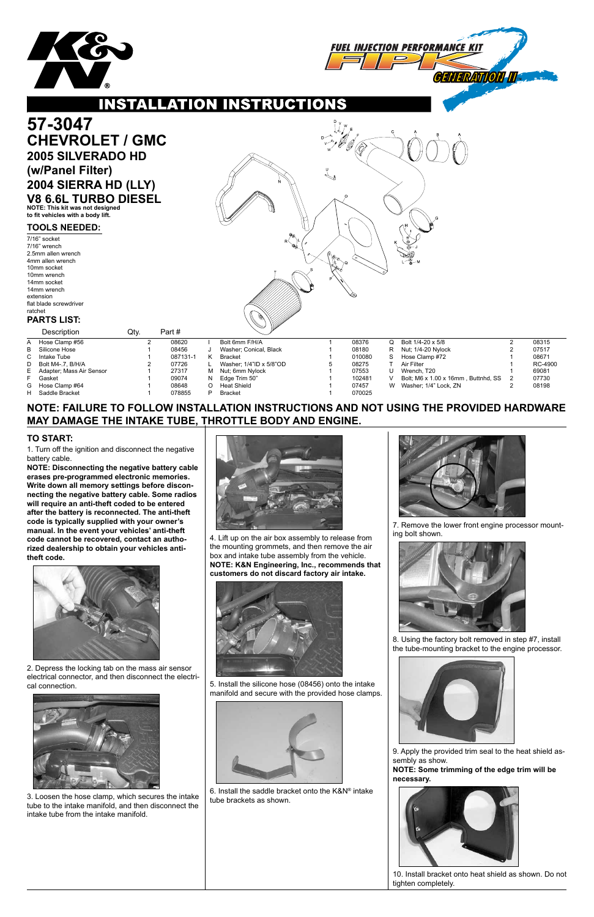



**INSTALLATION INSTRUCTIONS** 

**NOTE: FAILURE TO FOLLOW INSTALLATION INSTRUCTIONS AND NOT USING THE PROVIDED HARDWARE MAY DAMAGE THE INTAKE TUBE, THROTTLE BODY AND ENGINE.**

1. Turn off the ignition and disconnect the negative battery cable.

**NOTE: Disconnecting the negative battery cable erases pre-programmed electronic memories. Write down all memory settings before disconnecting the negative battery cable. Some radios will require an anti-theft coded to be entered after the battery is reconnected. The anti-theft code is typically supplied with your owner's manual. In the event your vehicles' anti-theft code cannot be recovered, contact an authorized dealership to obtain your vehicles antitheft code.**



## **TO START:**

|                                 | 57-3047<br><b>CHEVROLET / GMC</b><br><b>2005 SILVERADO HD</b><br>(w/Panel Filter)<br>2004 SIERRA HD (LLY)<br><b>V8 6.6L TURBO DIESEL</b><br>NOTE: This kit was not designed<br>to fit vehicles with a body lift.                   |      |   |                                                                |             |                                                                                                                                                 |  |                                                               |                            |                                                                                                                                                        |                                       |                                                               |
|---------------------------------|------------------------------------------------------------------------------------------------------------------------------------------------------------------------------------------------------------------------------------|------|---|----------------------------------------------------------------|-------------|-------------------------------------------------------------------------------------------------------------------------------------------------|--|---------------------------------------------------------------|----------------------------|--------------------------------------------------------------------------------------------------------------------------------------------------------|---------------------------------------|---------------------------------------------------------------|
|                                 | <b>TOOLS NEEDED:</b><br>7/16" socket<br>7/16" wrench<br>2.5mm allen wrench<br>4mm allen wrench<br>10mm socket<br>10mm wrench<br>14mm socket<br>14mm wrench<br>extension<br>flat blade screwdriver<br>ratchet<br><b>PARTS LIST:</b> |      |   |                                                                |             | RК                                                                                                                                              |  |                                                               |                            |                                                                                                                                                        |                                       |                                                               |
|                                 | Description                                                                                                                                                                                                                        | Qty. |   | Part#                                                          |             |                                                                                                                                                 |  |                                                               |                            |                                                                                                                                                        |                                       |                                                               |
| A<br>B<br>C<br>D<br>E<br>F<br>G | Hose Clamp #56<br>Silicone Hose<br>Intake Tube<br>Bolt M4-.7, B/H/A<br>Adapter; Mass Air Sensor<br>Gasket<br>Hose Clamp #64                                                                                                        |      | 2 | 08620<br>08456<br>087131-1<br>07726<br>27317<br>09074<br>08648 | Κ<br>м<br>Ω | Bolt 6mm F/H/A<br>Washer; Conical, Black<br><b>Bracket</b><br>Washer: 1/4"ID x 5/8"OD<br>Nut; 6mm Nylock<br>Edge Trim 50"<br><b>Heat Shield</b> |  | 08376<br>08180<br>010080<br>08275<br>07553<br>102481<br>07457 | Q<br>R<br>S<br>U<br>V<br>W | Bolt 1/4-20 x 5/8<br>Nut; 1/4-20 Nylock<br>Hose Clamp #72<br>Air Filter<br>Wrench, T20<br>Bolt; M6 x 1.00 x 16mm, Buttnhd, SS<br>Washer; 1/4" Lock, ZN | $\overline{2}$<br>2<br>$\overline{2}$ | 08315<br>07517<br>08671<br>RC-4900<br>69081<br>07730<br>08198 |
| н                               | Saddle Bracket                                                                                                                                                                                                                     |      |   | 078855                                                         | D           | <b>Bracket</b>                                                                                                                                  |  | 070025                                                        |                            |                                                                                                                                                        |                                       |                                                               |

2. Depress the locking tab on the mass air sensor

electrical connector, and then disconnect the electrical connection.



3. Loosen the hose clamp, which secures the intake tube to the intake manifold, and then disconnect the intake tube from the intake manifold.



4. Lift up on the air box assembly to release from the mounting grommets, and then remove the air box and intake tube assembly from the vehicle. **NOTE: K&N Engineering, Inc., recommends that customers do not discard factory air intake.**





5. Install the silicone hose (08456) onto the intake manifold and secure with the provided hose clamps.



6. Install the saddle bracket onto the K&N® intake tube brackets as shown.

7. Remove the lower front engine processor mounting bolt shown.



8. Using the factory bolt removed in step #7, install the tube-mounting bracket to the engine processor.



9. Apply the provided trim seal to the heat shield assembly as show.

**NOTE: Some trimming of the edge trim will be necessary.**



10. Install bracket onto heat shield as shown. Do not tighten completely.